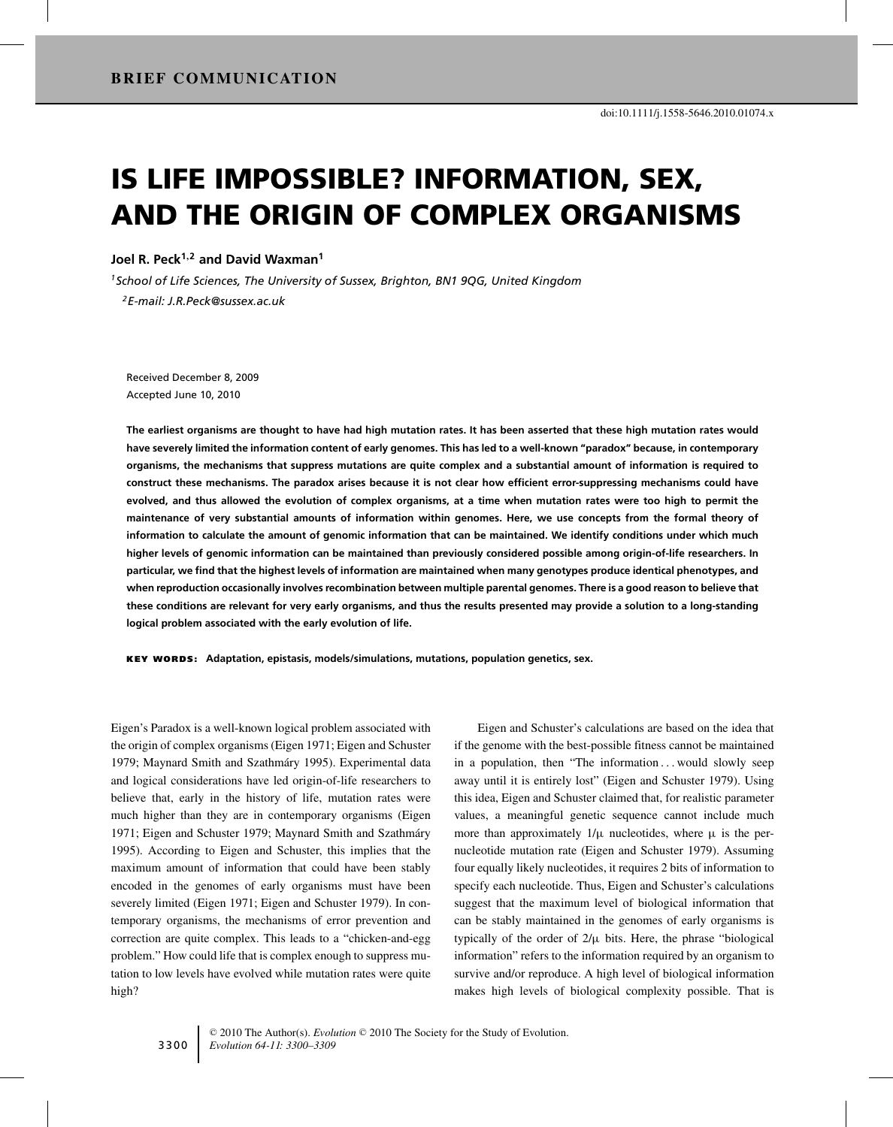# IS LIFE IMPOSSIBLE? INFORMATION, SEX, AND THE ORIGIN OF COMPLEX ORGANISMS

### **Joel R. Peck1,<sup>2</sup> and David Waxman1**

*1School of Life Sciences, The University of Sussex, Brighton, BN1 9QG, United Kingdom 2E-mail: J.R.Peck@sussex.ac.uk*

Received December 8, 2009 Accepted June 10, 2010

**The earliest organisms are thought to have had high mutation rates. It has been asserted that these high mutation rates would have severely limited the information content of early genomes. This has led to a well-known "paradox" because, in contemporary organisms, the mechanisms that suppress mutations are quite complex and a substantial amount of information is required to construct these mechanisms. The paradox arises because it is not clear how efficient error-suppressing mechanisms could have evolved, and thus allowed the evolution of complex organisms, at a time when mutation rates were too high to permit the maintenance of very substantial amounts of information within genomes. Here, we use concepts from the formal theory of information to calculate the amount of genomic information that can be maintained. We identify conditions under which much higher levels of genomic information can be maintained than previously considered possible among origin-of-life researchers. In particular, we find that the highest levels of information are maintained when many genotypes produce identical phenotypes, and when reproduction occasionally involves recombination between multiple parental genomes. There is a good reason to believe that these conditions are relevant for very early organisms, and thus the results presented may provide a solution to a long-standing logical problem associated with the early evolution of life.**

KEY WORDS: **Adaptation, epistasis, models/simulations, mutations, population genetics, sex.**

Eigen's Paradox is a well-known logical problem associated with the origin of complex organisms (Eigen 1971; Eigen and Schuster 1979; Maynard Smith and Szathmáry 1995). Experimental data and logical considerations have led origin-of-life researchers to believe that, early in the history of life, mutation rates were much higher than they are in contemporary organisms (Eigen 1971; Eigen and Schuster 1979; Maynard Smith and Szathmáry 1995). According to Eigen and Schuster, this implies that the maximum amount of information that could have been stably encoded in the genomes of early organisms must have been severely limited (Eigen 1971; Eigen and Schuster 1979). In contemporary organisms, the mechanisms of error prevention and correction are quite complex. This leads to a "chicken-and-egg problem." How could life that is complex enough to suppress mutation to low levels have evolved while mutation rates were quite high?

Eigen and Schuster's calculations are based on the idea that if the genome with the best-possible fitness cannot be maintained in a population, then "The information ... would slowly seep away until it is entirely lost" (Eigen and Schuster 1979). Using this idea, Eigen and Schuster claimed that, for realistic parameter values, a meaningful genetic sequence cannot include much more than approximately  $1/\mu$  nucleotides, where  $\mu$  is the pernucleotide mutation rate (Eigen and Schuster 1979). Assuming four equally likely nucleotides, it requires 2 bits of information to specify each nucleotide. Thus, Eigen and Schuster's calculations suggest that the maximum level of biological information that can be stably maintained in the genomes of early organisms is typically of the order of  $2/\mu$  bits. Here, the phrase "biological information" refers to the information required by an organism to survive and/or reproduce. A high level of biological information makes high levels of biological complexity possible. That is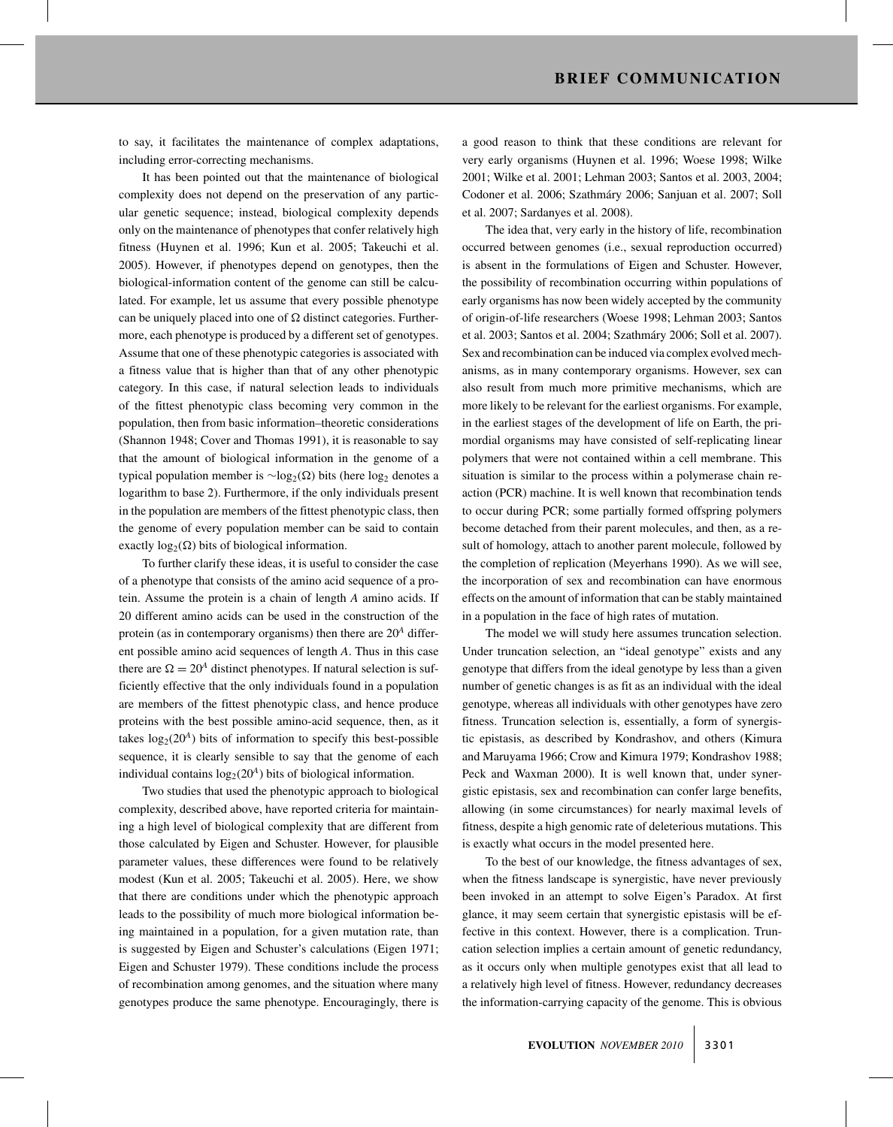to say, it facilitates the maintenance of complex adaptations, including error-correcting mechanisms.

It has been pointed out that the maintenance of biological complexity does not depend on the preservation of any particular genetic sequence; instead, biological complexity depends only on the maintenance of phenotypes that confer relatively high fitness (Huynen et al. 1996; Kun et al. 2005; Takeuchi et al. 2005). However, if phenotypes depend on genotypes, then the biological-information content of the genome can still be calculated. For example, let us assume that every possible phenotype can be uniquely placed into one of  $\Omega$  distinct categories. Furthermore, each phenotype is produced by a different set of genotypes. Assume that one of these phenotypic categories is associated with a fitness value that is higher than that of any other phenotypic category. In this case, if natural selection leads to individuals of the fittest phenotypic class becoming very common in the population, then from basic information–theoretic considerations (Shannon 1948; Cover and Thomas 1991), it is reasonable to say that the amount of biological information in the genome of a typical population member is  $\sim$ log<sub>2</sub>( $\Omega$ ) bits (here log<sub>2</sub> denotes a logarithm to base 2). Furthermore, if the only individuals present in the population are members of the fittest phenotypic class, then the genome of every population member can be said to contain exactly  $log_2(\Omega)$  bits of biological information.

To further clarify these ideas, it is useful to consider the case of a phenotype that consists of the amino acid sequence of a protein. Assume the protein is a chain of length *A* amino acids. If 20 different amino acids can be used in the construction of the protein (as in contemporary organisms) then there are 20*<sup>A</sup>* different possible amino acid sequences of length *A*. Thus in this case there are  $\Omega = 20^A$  distinct phenotypes. If natural selection is sufficiently effective that the only individuals found in a population are members of the fittest phenotypic class, and hence produce proteins with the best possible amino-acid sequence, then, as it takes  $log_2(20^4)$  bits of information to specify this best-possible sequence, it is clearly sensible to say that the genome of each individual contains  $log_2(20^4)$  bits of biological information.

Two studies that used the phenotypic approach to biological complexity, described above, have reported criteria for maintaining a high level of biological complexity that are different from those calculated by Eigen and Schuster. However, for plausible parameter values, these differences were found to be relatively modest (Kun et al. 2005; Takeuchi et al. 2005). Here, we show that there are conditions under which the phenotypic approach leads to the possibility of much more biological information being maintained in a population, for a given mutation rate, than is suggested by Eigen and Schuster's calculations (Eigen 1971; Eigen and Schuster 1979). These conditions include the process of recombination among genomes, and the situation where many genotypes produce the same phenotype. Encouragingly, there is a good reason to think that these conditions are relevant for very early organisms (Huynen et al. 1996; Woese 1998; Wilke 2001; Wilke et al. 2001; Lehman 2003; Santos et al. 2003, 2004; Codoner et al. 2006; Szathmáry 2006; Sanjuan et al. 2007; Soll et al. 2007; Sardanyes et al. 2008).

The idea that, very early in the history of life, recombination occurred between genomes (i.e., sexual reproduction occurred) is absent in the formulations of Eigen and Schuster. However, the possibility of recombination occurring within populations of early organisms has now been widely accepted by the community of origin-of-life researchers (Woese 1998; Lehman 2003; Santos et al. 2003; Santos et al. 2004; Szathmary 2006; Soll et al. 2007). ´ Sex and recombination can be induced via complex evolved mechanisms, as in many contemporary organisms. However, sex can also result from much more primitive mechanisms, which are more likely to be relevant for the earliest organisms. For example, in the earliest stages of the development of life on Earth, the primordial organisms may have consisted of self-replicating linear polymers that were not contained within a cell membrane. This situation is similar to the process within a polymerase chain reaction (PCR) machine. It is well known that recombination tends to occur during PCR; some partially formed offspring polymers become detached from their parent molecules, and then, as a result of homology, attach to another parent molecule, followed by the completion of replication (Meyerhans 1990). As we will see, the incorporation of sex and recombination can have enormous effects on the amount of information that can be stably maintained in a population in the face of high rates of mutation.

The model we will study here assumes truncation selection. Under truncation selection, an "ideal genotype" exists and any genotype that differs from the ideal genotype by less than a given number of genetic changes is as fit as an individual with the ideal genotype, whereas all individuals with other genotypes have zero fitness. Truncation selection is, essentially, a form of synergistic epistasis, as described by Kondrashov, and others (Kimura and Maruyama 1966; Crow and Kimura 1979; Kondrashov 1988; Peck and Waxman 2000). It is well known that, under synergistic epistasis, sex and recombination can confer large benefits, allowing (in some circumstances) for nearly maximal levels of fitness, despite a high genomic rate of deleterious mutations. This is exactly what occurs in the model presented here.

To the best of our knowledge, the fitness advantages of sex, when the fitness landscape is synergistic, have never previously been invoked in an attempt to solve Eigen's Paradox. At first glance, it may seem certain that synergistic epistasis will be effective in this context. However, there is a complication. Truncation selection implies a certain amount of genetic redundancy, as it occurs only when multiple genotypes exist that all lead to a relatively high level of fitness. However, redundancy decreases the information-carrying capacity of the genome. This is obvious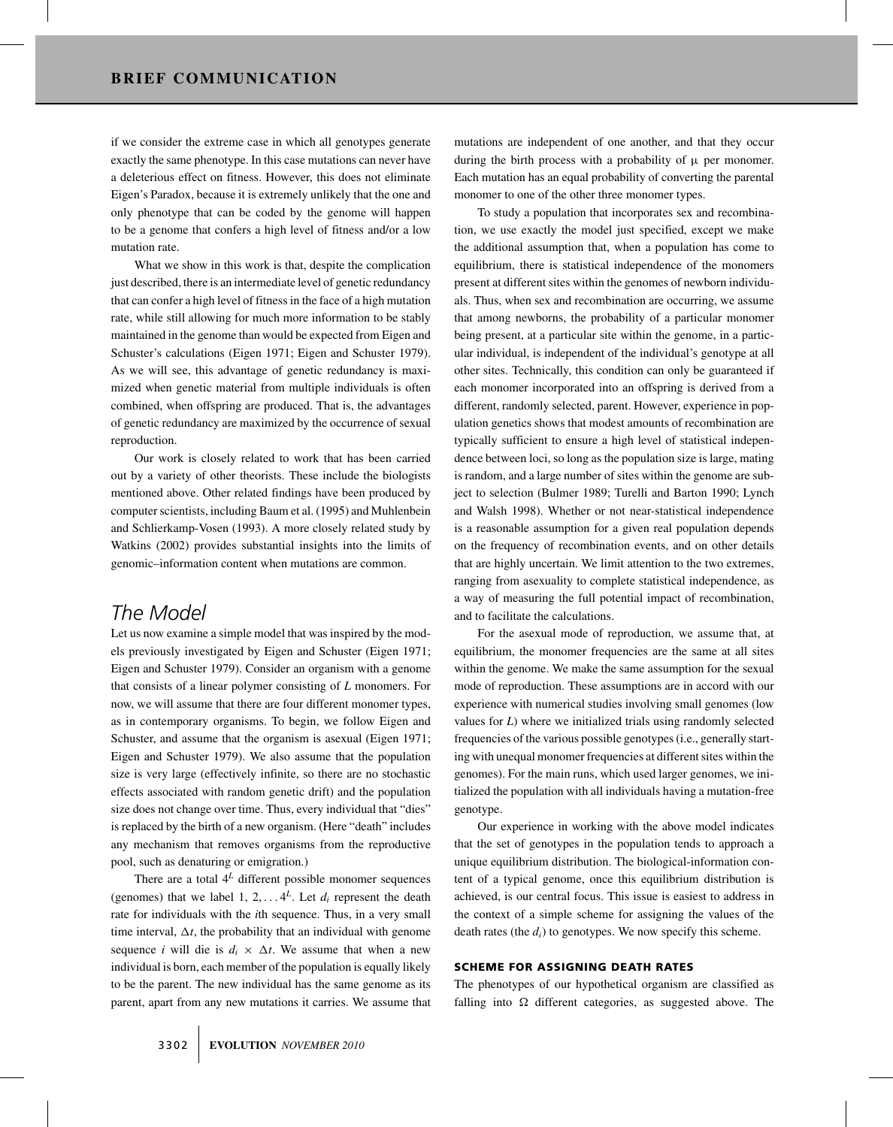if we consider the extreme case in which all genotypes generate exactly the same phenotype. In this case mutations can never have a deleterious effect on fitness. However, this does not eliminate Eigen's Paradox, because it is extremely unlikely that the one and only phenotype that can be coded by the genome will happen to be a genome that confers a high level of fitness and/or a low mutation rate.

What we show in this work is that, despite the complication just described, there is an intermediate level of genetic redundancy that can confer a high level of fitness in the face of a high mutation rate, while still allowing for much more information to be stably maintained in the genome than would be expected from Eigen and Schuster's calculations (Eigen 1971; Eigen and Schuster 1979). As we will see, this advantage of genetic redundancy is maximized when genetic material from multiple individuals is often combined, when offspring are produced. That is, the advantages of genetic redundancy are maximized by the occurrence of sexual reproduction.

Our work is closely related to work that has been carried out by a variety of other theorists. These include the biologists mentioned above. Other related findings have been produced by computer scientists, including Baum et al. (1995) and Muhlenbein and Schlierkamp-Vosen (1993). A more closely related study by Watkins (2002) provides substantial insights into the limits of genomic–information content when mutations are common.

# *The Model*

Let us now examine a simple model that was inspired by the models previously investigated by Eigen and Schuster (Eigen 1971; Eigen and Schuster 1979). Consider an organism with a genome that consists of a linear polymer consisting of *L* monomers. For now, we will assume that there are four different monomer types, as in contemporary organisms. To begin, we follow Eigen and Schuster, and assume that the organism is asexual (Eigen 1971; Eigen and Schuster 1979). We also assume that the population size is very large (effectively infinite, so there are no stochastic effects associated with random genetic drift) and the population size does not change over time. Thus, every individual that "dies" is replaced by the birth of a new organism. (Here "death" includes any mechanism that removes organisms from the reproductive pool, such as denaturing or emigration.)

There are a total  $4^L$  different possible monomer sequences (genomes) that we label 1,  $2, \ldots, 4^L$ . Let  $d_i$  represent the death rate for individuals with the *i*th sequence. Thus, in a very small time interval,  $\Delta t$ , the probability that an individual with genome sequence *i* will die is  $d_i \times \Delta t$ . We assume that when a new individual is born, each member of the population is equally likely to be the parent. The new individual has the same genome as its parent, apart from any new mutations it carries. We assume that mutations are independent of one another, and that they occur during the birth process with a probability of  $\mu$  per monomer. Each mutation has an equal probability of converting the parental monomer to one of the other three monomer types.

To study a population that incorporates sex and recombination, we use exactly the model just specified, except we make the additional assumption that, when a population has come to equilibrium, there is statistical independence of the monomers present at different sites within the genomes of newborn individuals. Thus, when sex and recombination are occurring, we assume that among newborns, the probability of a particular monomer being present, at a particular site within the genome, in a particular individual, is independent of the individual's genotype at all other sites. Technically, this condition can only be guaranteed if each monomer incorporated into an offspring is derived from a different, randomly selected, parent. However, experience in population genetics shows that modest amounts of recombination are typically sufficient to ensure a high level of statistical independence between loci, so long as the population size is large, mating is random, and a large number of sites within the genome are subject to selection (Bulmer 1989; Turelli and Barton 1990; Lynch and Walsh 1998). Whether or not near-statistical independence is a reasonable assumption for a given real population depends on the frequency of recombination events, and on other details that are highly uncertain. We limit attention to the two extremes, ranging from asexuality to complete statistical independence, as a way of measuring the full potential impact of recombination, and to facilitate the calculations.

For the asexual mode of reproduction, we assume that, at equilibrium, the monomer frequencies are the same at all sites within the genome. We make the same assumption for the sexual mode of reproduction. These assumptions are in accord with our experience with numerical studies involving small genomes (low values for *L*) where we initialized trials using randomly selected frequencies of the various possible genotypes (i.e., generally starting with unequal monomer frequencies at different sites within the genomes). For the main runs, which used larger genomes, we initialized the population with all individuals having a mutation-free genotype.

Our experience in working with the above model indicates that the set of genotypes in the population tends to approach a unique equilibrium distribution. The biological-information content of a typical genome, once this equilibrium distribution is achieved, is our central focus. This issue is easiest to address in the context of a simple scheme for assigning the values of the death rates (the *di*) to genotypes. We now specify this scheme.

### SCHEME FOR ASSIGNING DEATH RATES

The phenotypes of our hypothetical organism are classified as falling into  $\Omega$  different categories, as suggested above. The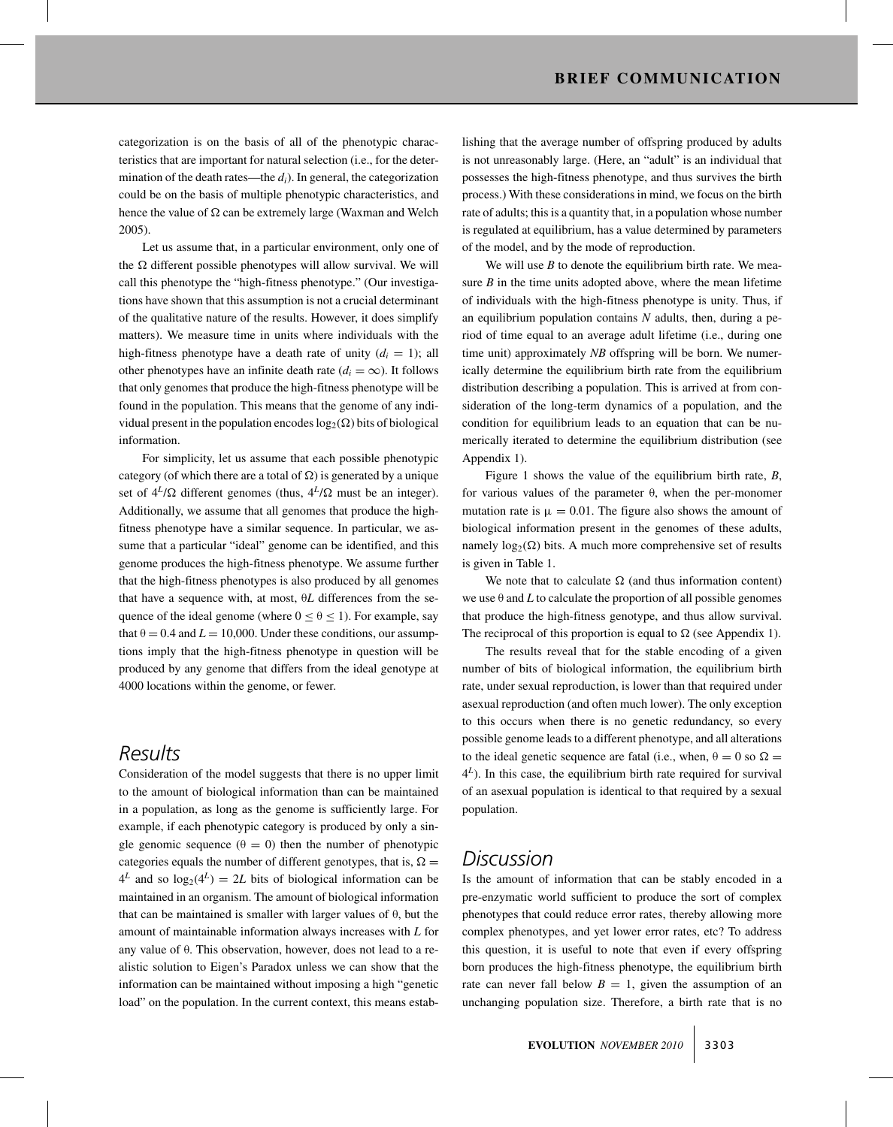categorization is on the basis of all of the phenotypic characteristics that are important for natural selection (i.e., for the determination of the death rates—the *di*). In general, the categorization could be on the basis of multiple phenotypic characteristics, and hence the value of  $\Omega$  can be extremely large (Waxman and Welch 2005).

Let us assume that, in a particular environment, only one of the  $\Omega$  different possible phenotypes will allow survival. We will call this phenotype the "high-fitness phenotype." (Our investigations have shown that this assumption is not a crucial determinant of the qualitative nature of the results. However, it does simplify matters). We measure time in units where individuals with the high-fitness phenotype have a death rate of unity  $(d<sub>i</sub> = 1)$ ; all other phenotypes have an infinite death rate  $(d_i = \infty)$ . It follows that only genomes that produce the high-fitness phenotype will be found in the population. This means that the genome of any individual present in the population encodes  $log_2(\Omega)$  bits of biological information.

For simplicity, let us assume that each possible phenotypic category (of which there are a total of  $\Omega$ ) is generated by a unique set of  $4^L/\Omega$  different genomes (thus,  $4^L/\Omega$  must be an integer). Additionally, we assume that all genomes that produce the highfitness phenotype have a similar sequence. In particular, we assume that a particular "ideal" genome can be identified, and this genome produces the high-fitness phenotype. We assume further that the high-fitness phenotypes is also produced by all genomes that have a sequence with, at most, θ*L* differences from the sequence of the ideal genome (where  $0 \le \theta \le 1$ ). For example, say that  $\theta = 0.4$  and  $L = 10,000$ . Under these conditions, our assumptions imply that the high-fitness phenotype in question will be produced by any genome that differs from the ideal genotype at 4000 locations within the genome, or fewer.

# *Results*

Consideration of the model suggests that there is no upper limit to the amount of biological information than can be maintained in a population, as long as the genome is sufficiently large. For example, if each phenotypic category is produced by only a single genomic sequence  $(\theta = 0)$  then the number of phenotypic categories equals the number of different genotypes, that is,  $\Omega =$  $4^L$  and so  $\log_2(4^L) = 2L$  bits of biological information can be maintained in an organism. The amount of biological information that can be maintained is smaller with larger values of  $θ$ , but the amount of maintainable information always increases with *L* for any value of θ. This observation, however, does not lead to a realistic solution to Eigen's Paradox unless we can show that the information can be maintained without imposing a high "genetic load" on the population. In the current context, this means establishing that the average number of offspring produced by adults is not unreasonably large. (Here, an "adult" is an individual that possesses the high-fitness phenotype, and thus survives the birth process.) With these considerations in mind, we focus on the birth rate of adults; this is a quantity that, in a population whose number is regulated at equilibrium, has a value determined by parameters of the model, and by the mode of reproduction.

We will use *B* to denote the equilibrium birth rate. We measure  $B$  in the time units adopted above, where the mean lifetime of individuals with the high-fitness phenotype is unity. Thus, if an equilibrium population contains *N* adults, then, during a period of time equal to an average adult lifetime (i.e., during one time unit) approximately *NB* offspring will be born. We numerically determine the equilibrium birth rate from the equilibrium distribution describing a population. This is arrived at from consideration of the long-term dynamics of a population, and the condition for equilibrium leads to an equation that can be numerically iterated to determine the equilibrium distribution (see Appendix 1).

Figure 1 shows the value of the equilibrium birth rate, *B*, for various values of the parameter θ, when the per-monomer mutation rate is  $\mu = 0.01$ . The figure also shows the amount of biological information present in the genomes of these adults, namely  $log_2(\Omega)$  bits. A much more comprehensive set of results is given in Table 1.

We note that to calculate  $\Omega$  (and thus information content) we use  $\theta$  and *L* to calculate the proportion of all possible genomes that produce the high-fitness genotype, and thus allow survival. The reciprocal of this proportion is equal to  $\Omega$  (see Appendix 1).

The results reveal that for the stable encoding of a given number of bits of biological information, the equilibrium birth rate, under sexual reproduction, is lower than that required under asexual reproduction (and often much lower). The only exception to this occurs when there is no genetic redundancy, so every possible genome leads to a different phenotype, and all alterations to the ideal genetic sequence are fatal (i.e., when,  $\theta = 0$  so  $\Omega =$ 4*<sup>L</sup>*). In this case, the equilibrium birth rate required for survival of an asexual population is identical to that required by a sexual population.

### *Discussion*

Is the amount of information that can be stably encoded in a pre-enzymatic world sufficient to produce the sort of complex phenotypes that could reduce error rates, thereby allowing more complex phenotypes, and yet lower error rates, etc? To address this question, it is useful to note that even if every offspring born produces the high-fitness phenotype, the equilibrium birth rate can never fall below  $B = 1$ , given the assumption of an unchanging population size. Therefore, a birth rate that is no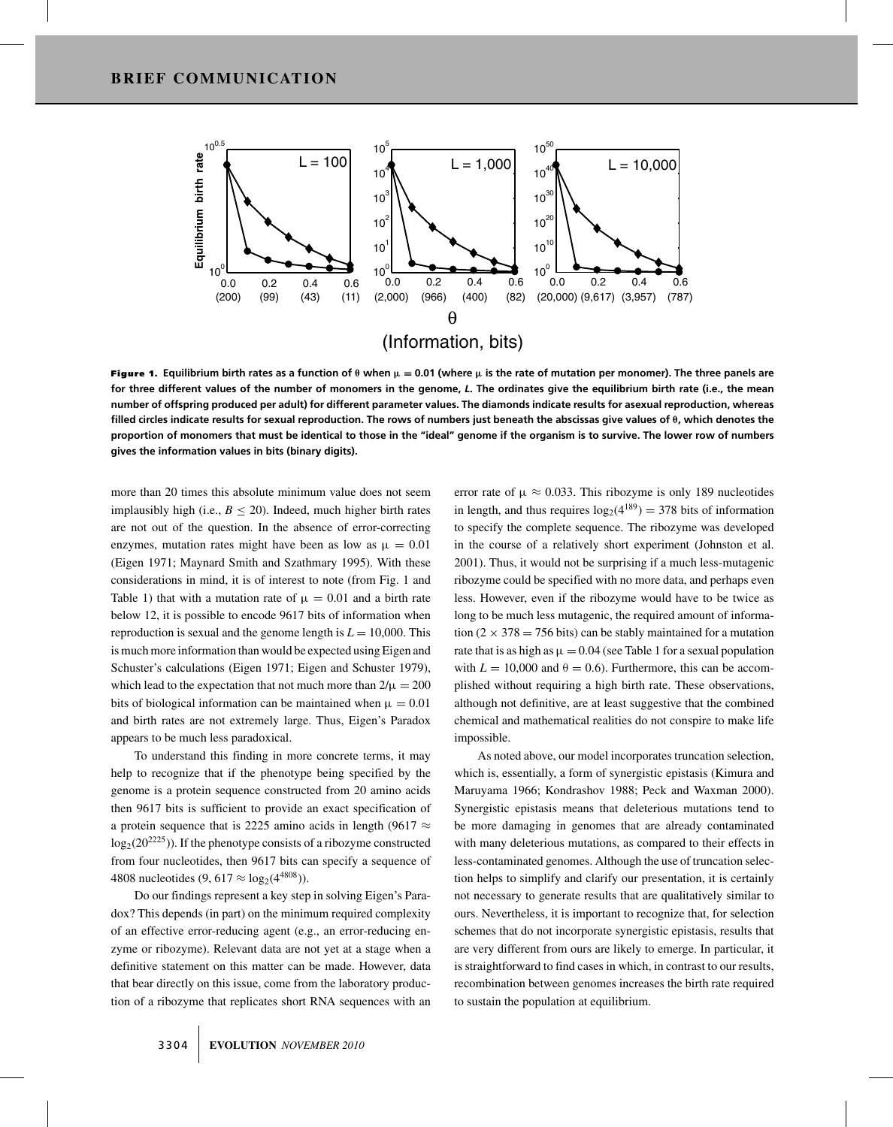

Figure 1. **Equilibrium birth rates as a function of <sup>θ</sup> when <sup>μ</sup> <sup>=</sup> 0.01 (where <sup>μ</sup> is the rate of mutation per monomer). The three panels are for three different values of the number of monomers in the genome,** *L***. The ordinates give the equilibrium birth rate (i.e., the mean number of offspring produced per adult) for different parameter values. The diamonds indicate results for asexual reproduction, whereas filled circles indicate results for sexual reproduction. The rows of numbers just beneath the abscissas give values of θ, which denotes the proportion of monomers that must be identical to those in the "ideal" genome if the organism is to survive. The lower row of numbers gives the information values in bits (binary digits).**

more than 20 times this absolute minimum value does not seem implausibly high (i.e.,  $B \leq 20$ ). Indeed, much higher birth rates are not out of the question. In the absence of error-correcting enzymes, mutation rates might have been as low as  $\mu = 0.01$ (Eigen 1971; Maynard Smith and Szathmary 1995). With these considerations in mind, it is of interest to note (from Fig. 1 and Table 1) that with a mutation rate of  $\mu = 0.01$  and a birth rate below 12, it is possible to encode 9617 bits of information when reproduction is sexual and the genome length is  $L = 10,000$ . This is much more information than would be expected using Eigen and Schuster's calculations (Eigen 1971; Eigen and Schuster 1979), which lead to the expectation that not much more than  $2/\mu = 200$ bits of biological information can be maintained when  $\mu = 0.01$ and birth rates are not extremely large. Thus, Eigen's Paradox appears to be much less paradoxical.

To understand this finding in more concrete terms, it may help to recognize that if the phenotype being specified by the genome is a protein sequence constructed from 20 amino acids then 9617 bits is sufficient to provide an exact specification of a protein sequence that is 2225 amino acids in length (9617  $\approx$  $log_2(20^{2225})$ ). If the phenotype consists of a ribozyme constructed from four nucleotides, then 9617 bits can specify a sequence of 4808 nucleotides (9, 617  $\approx \log_2(4^{4808})$ ).

Do our findings represent a key step in solving Eigen's Paradox? This depends (in part) on the minimum required complexity of an effective error-reducing agent (e.g., an error-reducing enzyme or ribozyme). Relevant data are not yet at a stage when a definitive statement on this matter can be made. However, data that bear directly on this issue, come from the laboratory production of a ribozyme that replicates short RNA sequences with an error rate of  $\mu \approx 0.033$ . This ribozyme is only 189 nucleotides in length, and thus requires  $log_2(4^{189}) = 378$  bits of information to specify the complete sequence. The ribozyme was developed in the course of a relatively short experiment (Johnston et al. 2001). Thus, it would not be surprising if a much less-mutagenic ribozyme could be specified with no more data, and perhaps even less. However, even if the ribozyme would have to be twice as long to be much less mutagenic, the required amount of information ( $2 \times 378 = 756$  bits) can be stably maintained for a mutation rate that is as high as  $\mu = 0.04$  (see Table 1 for a sexual population with  $L = 10,000$  and  $\theta = 0.6$ ). Furthermore, this can be accomplished without requiring a high birth rate. These observations, although not definitive, are at least suggestive that the combined chemical and mathematical realities do not conspire to make life impossible.

As noted above, our model incorporates truncation selection, which is, essentially, a form of synergistic epistasis (Kimura and Maruyama 1966; Kondrashov 1988; Peck and Waxman 2000). Synergistic epistasis means that deleterious mutations tend to be more damaging in genomes that are already contaminated with many deleterious mutations, as compared to their effects in less-contaminated genomes. Although the use of truncation selection helps to simplify and clarify our presentation, it is certainly not necessary to generate results that are qualitatively similar to ours. Nevertheless, it is important to recognize that, for selection schemes that do not incorporate synergistic epistasis, results that are very different from ours are likely to emerge. In particular, it is straightforward to find cases in which, in contrast to our results, recombination between genomes increases the birth rate required to sustain the population at equilibrium.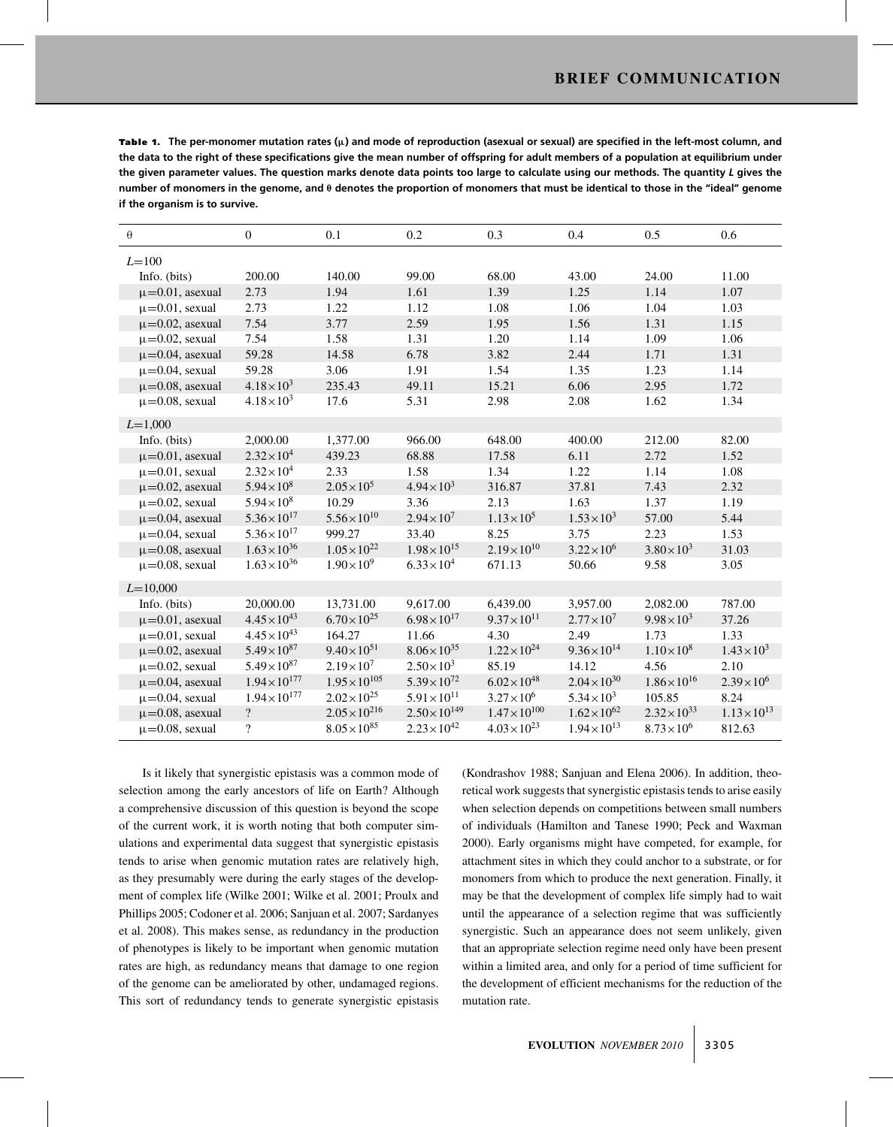**Table 1.** The per-monomer mutation rates (μ) and mode of reproduction (asexual or sexual) are specified in the left-most column, and **the data to the right of these specifications give the mean number of offspring for adult members of a population at equilibrium under the given parameter values. The question marks denote data points too large to calculate using our methods. The quantity** *L* **gives the number of monomers in the genome, and θ denotes the proportion of monomers that must be identical to those in the "ideal" genome if the organism is to survive.**

| $\boldsymbol{\theta}$ | $\boldsymbol{0}$         | 0.1                    | 0.2                    | 0.3                    | 0.4                   | 0.5                   | 0.6                   |
|-----------------------|--------------------------|------------------------|------------------------|------------------------|-----------------------|-----------------------|-----------------------|
| $L = 100$             |                          |                        |                        |                        |                       |                       |                       |
| Info. (bits)          | 200.00                   | 140.00                 | 99.00                  | 68.00                  | 43.00                 | 24.00                 | 11.00                 |
| $\mu$ =0.01, asexual  | 2.73                     | 1.94                   | 1.61                   | 1.39                   | 1.25                  | 1.14                  | 1.07                  |
| $\mu$ =0.01, sexual   | 2.73                     | 1.22                   | 1.12                   | 1.08                   | 1.06                  | 1.04                  | 1.03                  |
| $\mu$ =0.02, asexual  | 7.54                     | 3.77                   | 2.59                   | 1.95                   | 1.56                  | 1.31                  | 1.15                  |
| $\mu$ =0.02, sexual   | 7.54                     | 1.58                   | 1.31                   | 1.20                   | 1.14                  | 1.09                  | 1.06                  |
| $\mu$ =0.04, asexual  | 59.28                    | 14.58                  | 6.78                   | 3.82                   | 2.44                  | 1.71                  | 1.31                  |
| $\mu$ =0.04, sexual   | 59.28                    | 3.06                   | 1.91                   | 1.54                   | 1.35                  | 1.23                  | 1.14                  |
| $\mu$ =0.08, asexual  | $4.18 \times 10^3$       | 235.43                 | 49.11                  | 15.21                  | 6.06                  | 2.95                  | 1.72                  |
| $\mu$ =0.08, sexual   | $4.18 \times 10^{3}$     | 17.6                   | 5.31                   | 2.98                   | 2.08                  | 1.62                  | 1.34                  |
| $L=1,000$             |                          |                        |                        |                        |                       |                       |                       |
| Info. (bits)          | 2,000.00                 | 1,377.00               | 966.00                 | 648.00                 | 400.00                | 212.00                | 82.00                 |
| $\mu$ =0.01, asexual  | $2.32 \times 10^{4}$     | 439.23                 | 68.88                  | 17.58                  | 6.11                  | 2.72                  | 1.52                  |
| $\mu$ =0.01, sexual   | $2.32 \times 10^{4}$     | 2.33                   | 1.58                   | 1.34                   | 1.22                  | 1.14                  | 1.08                  |
| $\mu$ =0.02, asexual  | $5.94 \times 10^{8}$     | $2.05 \times 10^{5}$   | $4.94 \times 10^{3}$   | 316.87                 | 37.81                 | 7.43                  | 2.32                  |
| $\mu$ =0.02, sexual   | $5.94 \times 10^{8}$     | 10.29                  | 3.36                   | 2.13                   | 1.63                  | 1.37                  | 1.19                  |
| $\mu$ =0.04, asexual  | $5.36 \times 10^{17}$    | $5.56 \times 10^{10}$  | $2.94 \times 10^{7}$   | $1.13 \times 10^{5}$   | $1.53 \times 10^{3}$  | 57.00                 | 5.44                  |
| $\mu$ =0.04, sexual   | $5.36 \times 10^{17}$    | 999.27                 | 33.40                  | 8.25                   | 3.75                  | 2.23                  | 1.53                  |
| $\mu$ =0.08, asexual  | $1.63 \times 10^{36}$    | $1.05 \times 10^{22}$  | $1.98 \times 10^{15}$  | $2.19 \times 10^{10}$  | $3.22 \times 10^{6}$  | $3.80 \times 10^{3}$  | 31.03                 |
| $\mu$ =0.08, sexual   | $1.63 \times 10^{36}$    | $1.90 \times 10^{9}$   | $6.33 \times 10^{4}$   | 671.13                 | 50.66                 | 9.58                  | 3.05                  |
| $L = 10,000$          |                          |                        |                        |                        |                       |                       |                       |
| Info. (bits)          | 20,000.00                | 13,731.00              | 9,617.00               | 6,439.00               | 3,957.00              | 2,082.00              | 787.00                |
| $\mu$ =0.01, asexual  | $4.45 \times 10^{43}$    | $6.70\times10^{25}$    | $6.98 \times 10^{17}$  | $9.37 \times 10^{11}$  | $2.77 \times 10^{7}$  | $9.98 \times 10^{3}$  | 37.26                 |
| $\mu$ =0.01, sexual   | $4.45 \times 10^{43}$    | 164.27                 | 11.66                  | 4.30                   | 2.49                  | 1.73                  | 1.33                  |
| $\mu$ =0.02, asexual  | $5.49 \times 10^{87}$    | $9.40 \times 10^{51}$  | $8.06 \times 10^{35}$  | $1.22 \times 10^{24}$  | $9.36 \times 10^{14}$ | $1.10 \times 10^{8}$  | $1.43 \times 10^{3}$  |
| $\mu$ =0.02, sexual   | $5.49 \times 10^{87}$    | $2.19 \times 10^{7}$   | $2.50 \times 10^{3}$   | 85.19                  | 14.12                 | 4.56                  | 2.10                  |
| $\mu$ =0.04, asexual  | $1.94 \times 10^{177}$   | $1.95 \times 10^{105}$ | $5.39 \times 10^{72}$  | $6.02 \times 10^{48}$  | $2.04 \times 10^{30}$ | $1.86 \times 10^{16}$ | $2.39 \times 10^{6}$  |
| $\mu$ =0.04, sexual   | $1.94 \times 10^{177}$   | $2.02 \times 10^{25}$  | $5.91 \times 10^{11}$  | $3.27 \times 10^{6}$   | $5.34 \times 10^{3}$  | 105.85                | 8.24                  |
| $\mu$ =0.08, asexual  | $\overline{\cdot}$       | $2.05 \times 10^{216}$ | $2.50 \times 10^{149}$ | $1.47 \times 10^{100}$ | $1.62 \times 10^{62}$ | $2.32 \times 10^{33}$ | $1.13 \times 10^{13}$ |
| $\mu$ =0.08, sexual   | $\overline{\mathcal{L}}$ | $8.05 \times 10^{85}$  | $2.23 \times 10^{42}$  | $4.03 \times 10^{23}$  | $1.94 \times 10^{13}$ | $8.73 \times 10^{6}$  | 812.63                |

Is it likely that synergistic epistasis was a common mode of selection among the early ancestors of life on Earth? Although a comprehensive discussion of this question is beyond the scope of the current work, it is worth noting that both computer simulations and experimental data suggest that synergistic epistasis tends to arise when genomic mutation rates are relatively high, as they presumably were during the early stages of the development of complex life (Wilke 2001; Wilke et al. 2001; Proulx and Phillips 2005; Codoner et al. 2006; Sanjuan et al. 2007; Sardanyes et al. 2008). This makes sense, as redundancy in the production of phenotypes is likely to be important when genomic mutation rates are high, as redundancy means that damage to one region of the genome can be ameliorated by other, undamaged regions. This sort of redundancy tends to generate synergistic epistasis (Kondrashov 1988; Sanjuan and Elena 2006). In addition, theoretical work suggests that synergistic epistasis tends to arise easily when selection depends on competitions between small numbers of individuals (Hamilton and Tanese 1990; Peck and Waxman 2000). Early organisms might have competed, for example, for attachment sites in which they could anchor to a substrate, or for monomers from which to produce the next generation. Finally, it may be that the development of complex life simply had to wait until the appearance of a selection regime that was sufficiently synergistic. Such an appearance does not seem unlikely, given that an appropriate selection regime need only have been present within a limited area, and only for a period of time sufficient for the development of efficient mechanisms for the reduction of the mutation rate.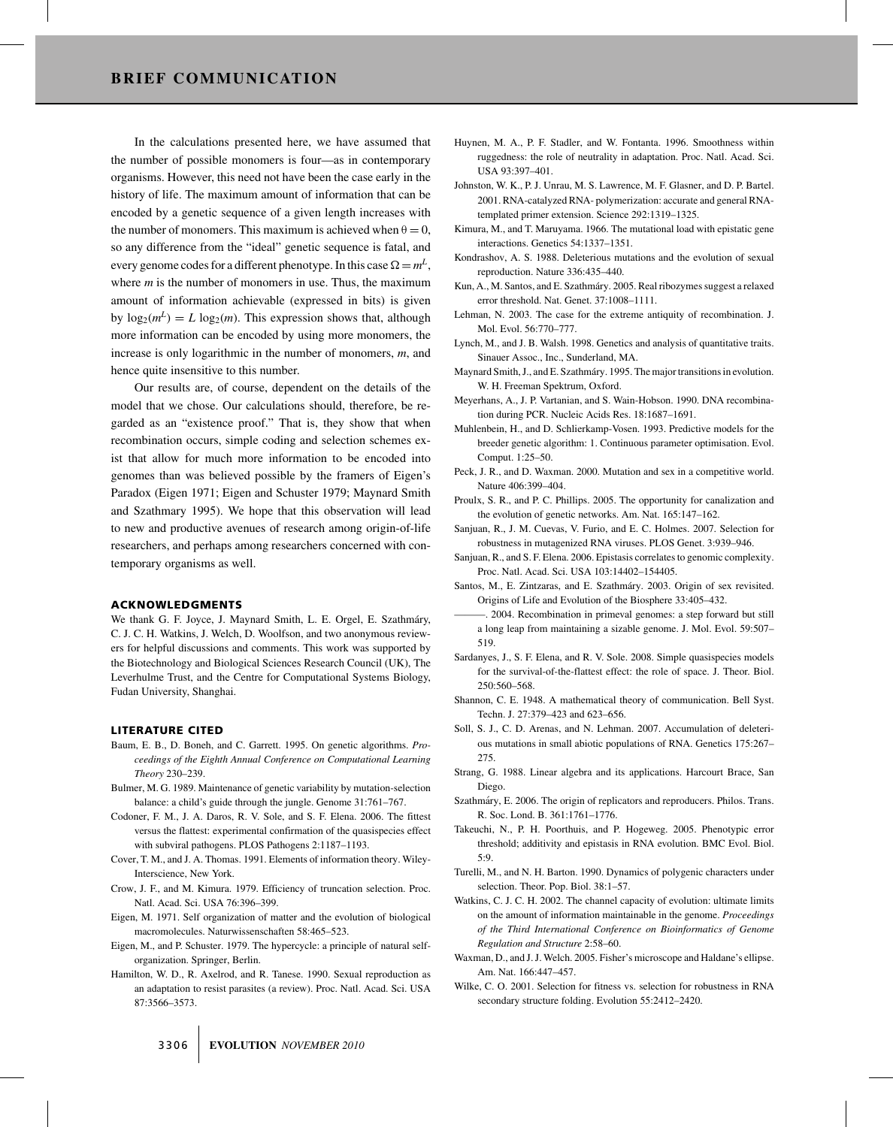In the calculations presented here, we have assumed that the number of possible monomers is four—as in contemporary organisms. However, this need not have been the case early in the history of life. The maximum amount of information that can be encoded by a genetic sequence of a given length increases with the number of monomers. This maximum is achieved when  $\theta = 0$ , so any difference from the "ideal" genetic sequence is fatal, and every genome codes for a different phenotype. In this case  $\Omega = m^L$ , where *m* is the number of monomers in use. Thus, the maximum amount of information achievable (expressed in bits) is given by  $\log_2(m^L) = L \log_2(m)$ . This expression shows that, although more information can be encoded by using more monomers, the increase is only logarithmic in the number of monomers, *m*, and hence quite insensitive to this number.

Our results are, of course, dependent on the details of the model that we chose. Our calculations should, therefore, be regarded as an "existence proof." That is, they show that when recombination occurs, simple coding and selection schemes exist that allow for much more information to be encoded into genomes than was believed possible by the framers of Eigen's Paradox (Eigen 1971; Eigen and Schuster 1979; Maynard Smith and Szathmary 1995). We hope that this observation will lead to new and productive avenues of research among origin-of-life researchers, and perhaps among researchers concerned with contemporary organisms as well.

#### ACKNOWLEDGMENTS

We thank G. F. Joyce, J. Maynard Smith, L. E. Orgel, E. Szathmáry, C. J. C. H. Watkins, J. Welch, D. Woolfson, and two anonymous reviewers for helpful discussions and comments. This work was supported by the Biotechnology and Biological Sciences Research Council (UK), The Leverhulme Trust, and the Centre for Computational Systems Biology, Fudan University, Shanghai.

#### LITERATURE CITED

- Baum, E. B., D. Boneh, and C. Garrett. 1995. On genetic algorithms. *Proceedings of the Eighth Annual Conference on Computational Learning Theory* 230–239.
- Bulmer, M. G. 1989. Maintenance of genetic variability by mutation-selection balance: a child's guide through the jungle. Genome 31:761–767.
- Codoner, F. M., J. A. Daros, R. V. Sole, and S. F. Elena. 2006. The fittest versus the flattest: experimental confirmation of the quasispecies effect with subviral pathogens. PLOS Pathogens 2:1187–1193.
- Cover, T. M., and J. A. Thomas. 1991. Elements of information theory. Wiley-Interscience, New York.
- Crow, J. F., and M. Kimura. 1979. Efficiency of truncation selection. Proc. Natl. Acad. Sci. USA 76:396–399.
- Eigen, M. 1971. Self organization of matter and the evolution of biological macromolecules. Naturwissenschaften 58:465–523.
- Eigen, M., and P. Schuster. 1979. The hypercycle: a principle of natural selforganization. Springer, Berlin.
- Hamilton, W. D., R. Axelrod, and R. Tanese. 1990. Sexual reproduction as an adaptation to resist parasites (a review). Proc. Natl. Acad. Sci. USA 87:3566–3573.
- Huynen, M. A., P. F. Stadler, and W. Fontanta. 1996. Smoothness within ruggedness: the role of neutrality in adaptation. Proc. Natl. Acad. Sci. USA 93:397–401.
- Johnston, W. K., P. J. Unrau, M. S. Lawrence, M. F. Glasner, and D. P. Bartel. 2001. RNA-catalyzed RNA- polymerization: accurate and general RNAtemplated primer extension. Science 292:1319–1325.
- Kimura, M., and T. Maruyama. 1966. The mutational load with epistatic gene interactions. Genetics 54:1337–1351.
- Kondrashov, A. S. 1988. Deleterious mutations and the evolution of sexual reproduction. Nature 336:435–440.
- Kun, A., M. Santos, and E. Szathmáry. 2005. Real ribozymes suggest a relaxed error threshold. Nat. Genet. 37:1008–1111.
- Lehman, N. 2003. The case for the extreme antiquity of recombination. J. Mol. Evol. 56:770–777.
- Lynch, M., and J. B. Walsh. 1998. Genetics and analysis of quantitative traits. Sinauer Assoc., Inc., Sunderland, MA.
- Maynard Smith, J., and E. Szathmáry. 1995. The major transitions in evolution. W. H. Freeman Spektrum, Oxford.
- Meyerhans, A., J. P. Vartanian, and S. Wain-Hobson. 1990. DNA recombination during PCR. Nucleic Acids Res. 18:1687–1691.
- Muhlenbein, H., and D. Schlierkamp-Vosen. 1993. Predictive models for the breeder genetic algorithm: 1. Continuous parameter optimisation. Evol. Comput. 1:25–50.
- Peck, J. R., and D. Waxman. 2000. Mutation and sex in a competitive world. Nature 406:399–404.
- Proulx, S. R., and P. C. Phillips. 2005. The opportunity for canalization and the evolution of genetic networks. Am. Nat. 165:147–162.
- Sanjuan, R., J. M. Cuevas, V. Furio, and E. C. Holmes. 2007. Selection for robustness in mutagenized RNA viruses. PLOS Genet. 3:939–946.
- Sanjuan, R., and S. F. Elena. 2006. Epistasis correlates to genomic complexity. Proc. Natl. Acad. Sci. USA 103:14402–154405.
- Santos, M., E. Zintzaras, and E. Szathmáry. 2003. Origin of sex revisited. Origins of Life and Evolution of the Biosphere 33:405–432.
- . 2004. Recombination in primeval genomes: a step forward but still a long leap from maintaining a sizable genome. J. Mol. Evol. 59:507– 519.
- Sardanyes, J., S. F. Elena, and R. V. Sole. 2008. Simple quasispecies models for the survival-of-the-flattest effect: the role of space. J. Theor. Biol. 250:560–568.
- Shannon, C. E. 1948. A mathematical theory of communication. Bell Syst. Techn. J. 27:379–423 and 623–656.
- Soll, S. J., C. D. Arenas, and N. Lehman. 2007. Accumulation of deleterious mutations in small abiotic populations of RNA. Genetics 175:267– 275.
- Strang, G. 1988. Linear algebra and its applications. Harcourt Brace, San Diego.
- Szathmáry, E. 2006. The origin of replicators and reproducers. Philos. Trans. R. Soc. Lond. B. 361:1761–1776.
- Takeuchi, N., P. H. Poorthuis, and P. Hogeweg. 2005. Phenotypic error threshold; additivity and epistasis in RNA evolution. BMC Evol. Biol. 5:9.
- Turelli, M., and N. H. Barton. 1990. Dynamics of polygenic characters under selection. Theor. Pop. Biol. 38:1–57.
- Watkins, C. J. C. H. 2002. The channel capacity of evolution: ultimate limits on the amount of information maintainable in the genome. *Proceedings of the Third International Conference on Bioinformatics of Genome Regulation and Structure* 2:58–60.
- Waxman, D., and J. J. Welch. 2005. Fisher's microscope and Haldane's ellipse. Am. Nat. 166:447–457.
- Wilke, C. O. 2001. Selection for fitness vs. selection for robustness in RNA secondary structure folding. Evolution 55:2412–2420.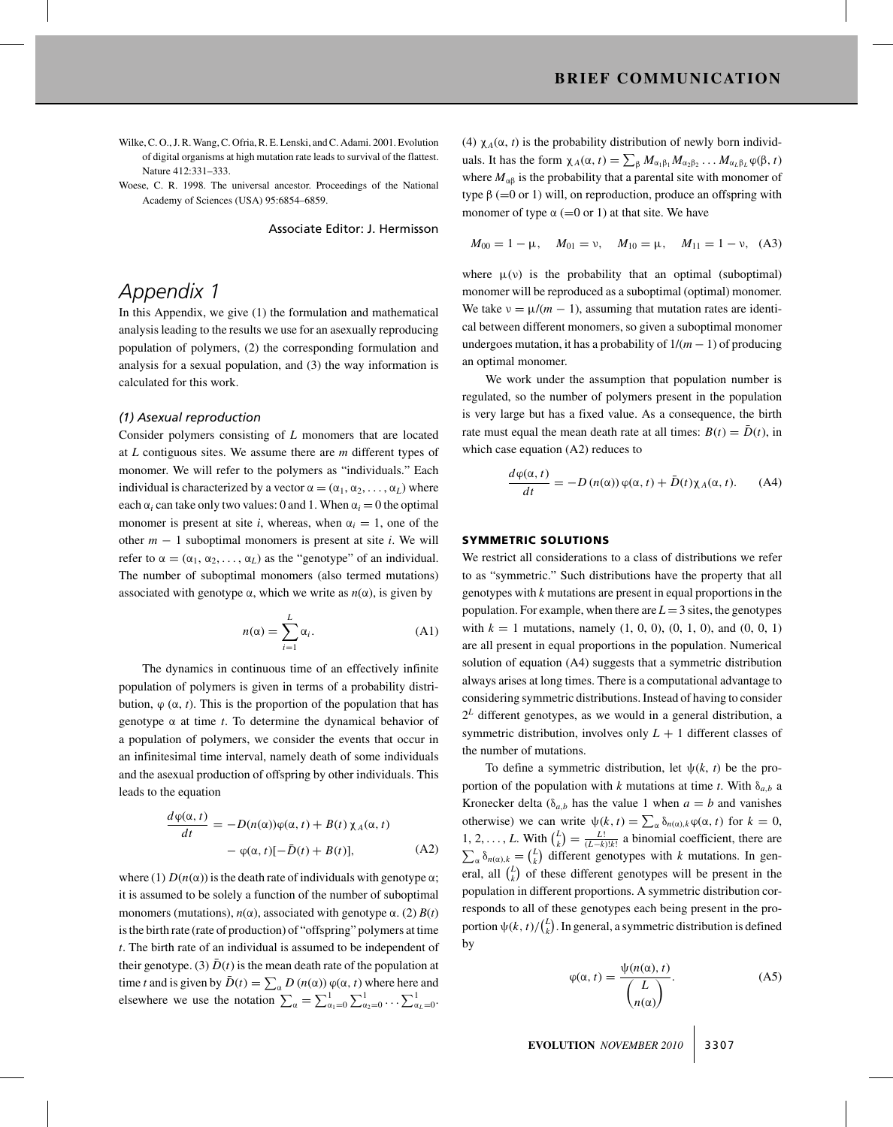- Wilke, C. O., J. R.Wang, C. Ofria, R. E. Lenski, and C. Adami. 2001. Evolution of digital organisms at high mutation rate leads to survival of the flattest. Nature 412:331–333.
- Woese, C. R. 1998. The universal ancestor. Proceedings of the National Academy of Sciences (USA) 95:6854–6859.

Associate Editor: J. Hermisson

# *Appendix 1*

In this Appendix, we give (1) the formulation and mathematical analysis leading to the results we use for an asexually reproducing population of polymers, (2) the corresponding formulation and analysis for a sexual population, and (3) the way information is calculated for this work.

### *(1) Asexual reproduction*

Consider polymers consisting of *L* monomers that are located at *L* contiguous sites. We assume there are *m* different types of monomer. We will refer to the polymers as "individuals." Each individual is characterized by a vector  $\alpha = (\alpha_1, \alpha_2, \dots, \alpha_L)$  where each  $\alpha_i$  can take only two values: 0 and 1. When  $\alpha_i = 0$  the optimal monomer is present at site *i*, whereas, when  $\alpha_i = 1$ , one of the other  $m - 1$  suboptimal monomers is present at site *i*. We will refer to  $\alpha = (\alpha_1, \alpha_2, \dots, \alpha_L)$  as the "genotype" of an individual. The number of suboptimal monomers (also termed mutations) associated with genotype  $\alpha$ , which we write as  $n(\alpha)$ , is given by

$$
n(\alpha) = \sum_{i=1}^{L} \alpha_i.
$$
 (A1)

The dynamics in continuous time of an effectively infinite population of polymers is given in terms of a probability distribution,  $\varphi$  (α, *t*). This is the proportion of the population that has genotype α at time *t*. To determine the dynamical behavior of a population of polymers, we consider the events that occur in an infinitesimal time interval, namely death of some individuals and the asexual production of offspring by other individuals. This leads to the equation

$$
\frac{d\varphi(\alpha, t)}{dt} = -D(n(\alpha))\varphi(\alpha, t) + B(t)\chi_A(\alpha, t)
$$

$$
-\varphi(\alpha, t)[-\bar{D}(t) + B(t)], \tag{A2}
$$

where (1)  $D(n(\alpha))$  is the death rate of individuals with genotype  $\alpha$ ; it is assumed to be solely a function of the number of suboptimal monomers (mutations),  $n(\alpha)$ , associated with genotype  $\alpha$ . (2)  $B(t)$ is the birth rate (rate of production) of "offspring" polymers at time *t*. The birth rate of an individual is assumed to be independent of their genotype. (3)  $\bar{D}(t)$  is the mean death rate of the population at time *t* and is given by  $\bar{D}(t) = \sum_{\alpha} D(n(\alpha)) \varphi(\alpha, t)$  where here and elsewhere we use the notation  $\sum_{\alpha} = \sum_{\alpha_1=0}^{1} \sum_{\alpha_2=0}^{1} \cdots \sum_{\alpha_L=0}^{1}$ .

(4)  $\chi_A(\alpha, t)$  is the probability distribution of newly born individuals. It has the form  $\chi_A(\alpha, t) = \sum_{\beta} M_{\alpha_1 \beta_1} M_{\alpha_2 \beta_2} \dots M_{\alpha_L \beta_L} \varphi(\beta, t)$ where  $M_{\alpha\beta}$  is the probability that a parental site with monomer of type  $β (=0 or 1)$  will, on reproduction, produce an offspring with monomer of type  $\alpha$  (=0 or 1) at that site. We have

$$
M_{00} = 1 - \mu
$$
,  $M_{01} = \nu$ ,  $M_{10} = \mu$ ,  $M_{11} = 1 - \nu$ , (A3)

where  $\mu(\nu)$  is the probability that an optimal (suboptimal) monomer will be reproduced as a suboptimal (optimal) monomer. We take  $v = \mu/(m - 1)$ , assuming that mutation rates are identical between different monomers, so given a suboptimal monomer undergoes mutation, it has a probability of  $1/(m-1)$  of producing an optimal monomer.

We work under the assumption that population number is regulated, so the number of polymers present in the population is very large but has a fixed value. As a consequence, the birth rate must equal the mean death rate at all times:  $B(t) = \bar{D}(t)$ , in which case equation (A2) reduces to

$$
\frac{d\varphi(\alpha, t)}{dt} = -D(n(\alpha))\varphi(\alpha, t) + \bar{D}(t)\chi_A(\alpha, t). \tag{A4}
$$

### SYMMETRIC SOLUTIONS

We restrict all considerations to a class of distributions we refer to as "symmetric." Such distributions have the property that all genotypes with *k* mutations are present in equal proportions in the population. For example, when there are  $L = 3$  sites, the genotypes with  $k = 1$  mutations, namely  $(1, 0, 0)$ ,  $(0, 1, 0)$ , and  $(0, 0, 1)$ are all present in equal proportions in the population. Numerical solution of equation (A4) suggests that a symmetric distribution always arises at long times. There is a computational advantage to considering symmetric distributions. Instead of having to consider  $2^L$  different genotypes, as we would in a general distribution, a symmetric distribution, involves only  $L + 1$  different classes of the number of mutations.

To define a symmetric distribution, let  $\psi(k, t)$  be the proportion of the population with *k* mutations at time *t*. With  $\delta_{a,b}$  a Kronecker delta ( $\delta_{a,b}$  has the value 1 when  $a = b$  and vanishes otherwise) we can write  $ψ(k, t) = \sum_{\alpha} δ_{n(\alpha),k} φ(\alpha, t)$  for  $k = 0$ , 1, 2, ..., *L*. With  $\binom{L}{k} = \frac{L!}{(L-k)!k!}$  a binomial coefficient, there are  $\sum_{\alpha} \delta_{n(\alpha),k} = \binom{L}{k}$  different genotypes with *k* mutations. In general, all  $\binom{L}{k}$  of these different genotypes will be present in the population in different proportions. A symmetric distribution corresponds to all of these genotypes each being present in the proportion  $\psi(k, t) / {L \choose k}$ . In general, a symmetric distribution is defined by

$$
\varphi(\alpha, t) = \frac{\psi(n(\alpha), t)}{\binom{L}{n(\alpha)}}.
$$
\n(A5)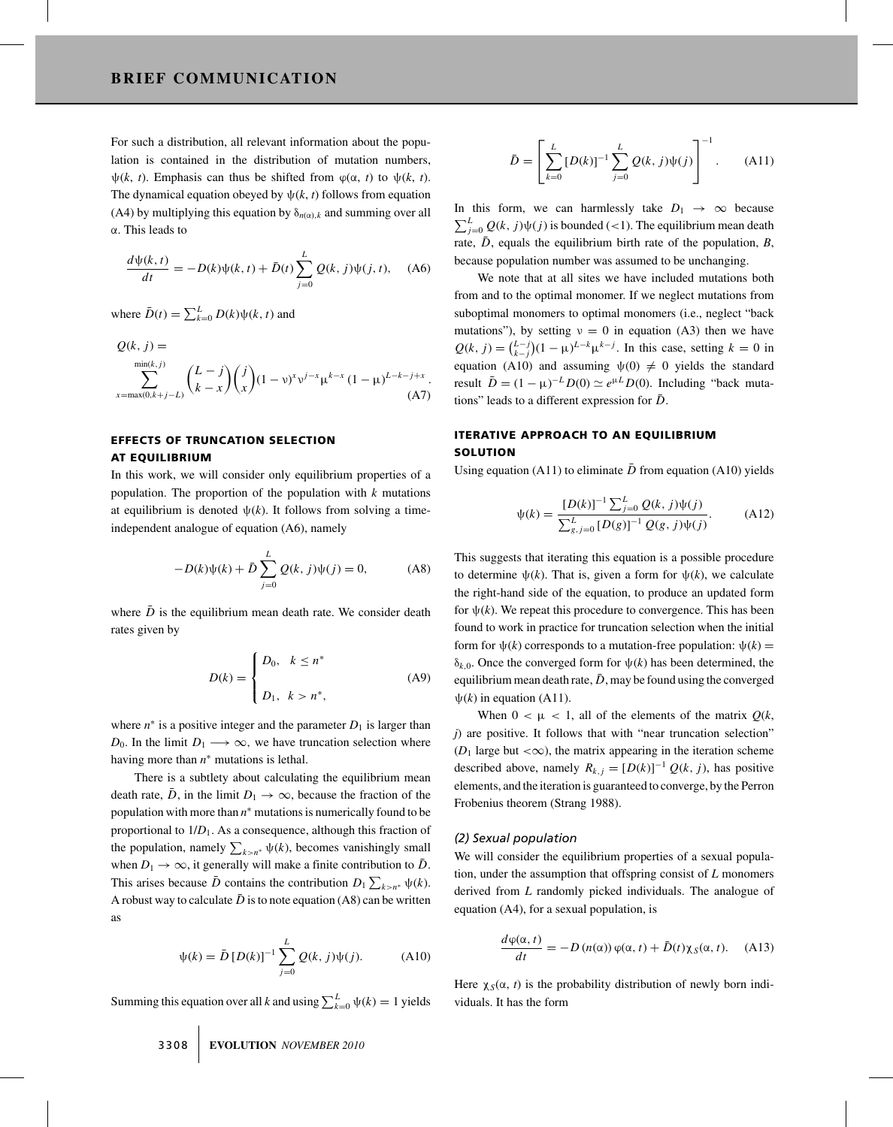For such a distribution, all relevant information about the population is contained in the distribution of mutation numbers, ψ(*k*, *t*). Emphasis can thus be shifted from ϕ(α, *t*) to ψ(*k*, *t*). The dynamical equation obeyed by  $\psi(k, t)$  follows from equation (A4) by multiplying this equation by  $\delta_{n(\alpha),k}$  and summing over all α. This leads to

$$
\frac{d\psi(k,t)}{dt} = -D(k)\psi(k,t) + \bar{D}(t)\sum_{j=0}^{L} Q(k,j)\psi(j,t), \quad (A6)
$$

where  $\bar{D}(t) = \sum_{k=0}^{L} D(k) \psi(k, t)$  and

$$
Q(k, j) = \sum_{x = \max(0, k+j-L)}^{\min(k, j)} {L - j \choose k - x} {j \choose x} (1 - v)^x v^{j-x} \mu^{k-x} (1 - \mu)^{L-k-j+x}.
$$
\n(A7)

### EFFECTS OF TRUNCATION SELECTION AT EQUILIBRIUM

In this work, we will consider only equilibrium properties of a population. The proportion of the population with *k* mutations at equilibrium is denoted  $\psi(k)$ . It follows from solving a timeindependent analogue of equation (A6), namely

$$
-D(k)\psi(k) + \bar{D}\sum_{j=0}^{L} Q(k, j)\psi(j) = 0,
$$
 (A8)

where  $\bar{D}$  is the equilibrium mean death rate. We consider death rates given by

$$
D(k) = \begin{cases} D_0, & k \le n^* \\ D_1, & k > n^*, \end{cases}
$$
 (A9)

where  $n^*$  is a positive integer and the parameter  $D_1$  is larger than *D*<sub>0</sub>. In the limit  $D_1 \longrightarrow \infty$ , we have truncation selection where having more than *n*<sup>∗</sup> mutations is lethal.

There is a subtlety about calculating the equilibrium mean death rate,  $\bar{D}$ , in the limit  $D_1 \rightarrow \infty$ , because the fraction of the population with more than *n*<sup>∗</sup> mutations is numerically found to be proportional to  $1/D_1$ . As a consequence, although this fraction of the population, namely  $\sum_{k>n^*} \psi(k)$ , becomes vanishingly small when  $D_1 \rightarrow \infty$ , it generally will make a finite contribution to  $\bar{D}$ . This arises because  $\bar{D}$  contains the contribution  $D_1 \sum_{k>n^*} \psi(k)$ . A robust way to calculate  $\bar{D}$  is to note equation (A8) can be written as

$$
\psi(k) = \bar{D} [D(k)]^{-1} \sum_{j=0}^{L} Q(k, j) \psi(j).
$$
 (A10)

Summing this equation over all *k* and using  $\sum_{k=0}^{L} \psi(k) = 1$  yields

In this form, we can harmlessly take  $D_1 \rightarrow \infty$  because  $\sum_{j=0}^{L} Q(k, j) \psi(j)$  is bounded (<1). The equilibrium mean death rate,  $\bar{D}$ , equals the equilibrium birth rate of the population, *B*, because population number was assumed to be unchanging.

We note that at all sites we have included mutations both from and to the optimal monomer. If we neglect mutations from suboptimal monomers to optimal monomers (i.e., neglect "back mutations"), by setting  $v = 0$  in equation (A3) then we have  $Q(k, j) = \binom{L-j}{k-j} (1 - \mu)^{L-k} \mu^{k-j}$ . In this case, setting  $k = 0$  in equation (A10) and assuming  $\psi(0) \neq 0$  yields the standard result  $\bar{D} = (1 - \mu)^{-L} D(0) \simeq e^{\mu L} D(0)$ . Including "back mutations" leads to a different expression for  $\bar{D}$ .

### ITERATIVE APPROACH TO AN EQUILIBRIUM SOLUTION

Using equation (A11) to eliminate  $\bar{D}$  from equation (A10) yields

$$
\psi(k) = \frac{[D(k)]^{-1} \sum_{j=0}^{L} Q(k, j)\psi(j)}{\sum_{g,j=0}^{L} [D(g)]^{-1} Q(g, j)\psi(j)}.
$$
 (A12)

This suggests that iterating this equation is a possible procedure to determine  $\psi(k)$ . That is, given a form for  $\psi(k)$ , we calculate the right-hand side of the equation, to produce an updated form for  $\psi(k)$ . We repeat this procedure to convergence. This has been found to work in practice for truncation selection when the initial form for ψ(*k*) corresponds to a mutation-free population: ψ(*k*) = δ*<sup>k</sup>*,0. Once the converged form for ψ(*k*) has been determined, the equilibrium mean death rate,  $\bar{D}$ , may be found using the converged  $\psi(k)$  in equation (A11).

When  $0 < \mu < 1$ , all of the elements of the matrix  $Q(k, \theta)$ *j*) are positive. It follows that with "near truncation selection" ( $D_1$  large but < $\infty$ ), the matrix appearing in the iteration scheme described above, namely  $R_{k,j} = [D(k)]^{-1} Q(k, j)$ , has positive elements, and the iteration is guaranteed to converge, by the Perron Frobenius theorem (Strang 1988).

### *(2) Sexual population*

We will consider the equilibrium properties of a sexual population, under the assumption that offspring consist of *L* monomers derived from *L* randomly picked individuals. The analogue of equation (A4), for a sexual population, is

$$
\frac{d\varphi(\alpha, t)}{dt} = -D(n(\alpha))\varphi(\alpha, t) + \bar{D}(t)\chi_{S}(\alpha, t). \quad (A13)
$$

Here  $\chi_S(\alpha, t)$  is the probability distribution of newly born individuals. It has the form